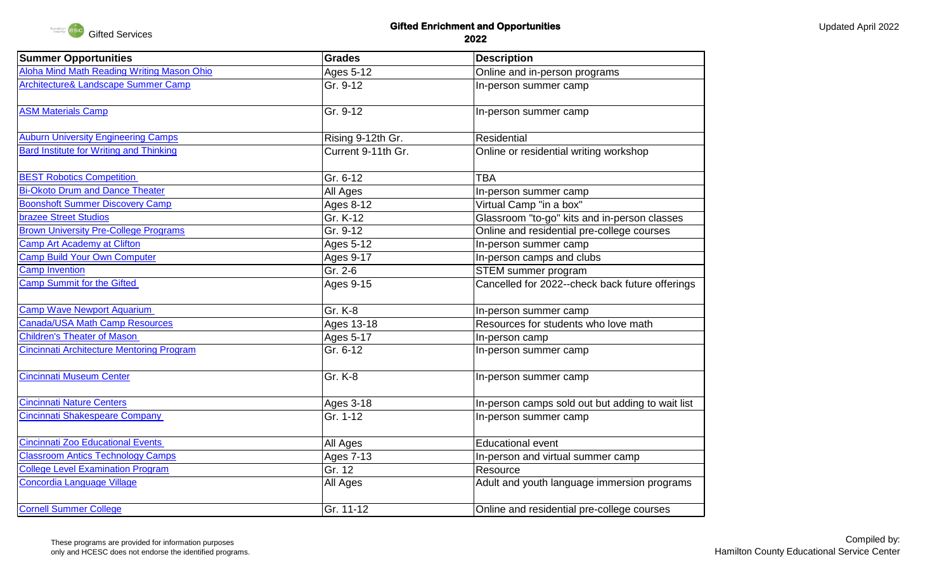

## **Gifted Enrichment and Opportunities 2022**

| <b>Summer Opportunities</b>                      | <b>Grades</b>      | <b>Description</b>                               |
|--------------------------------------------------|--------------------|--------------------------------------------------|
| Aloha Mind Math Reading Writing Mason Ohio       | Ages 5-12          | Online and in-person programs                    |
| Architecture& Landscape Summer Camp              | Gr. 9-12           | In-person summer camp                            |
| <b>ASM Materials Camp</b>                        | Gr. 9-12           | In-person summer camp                            |
| <b>Auburn University Engineering Camps</b>       | Rising 9-12th Gr.  | Residential                                      |
| <b>Bard Institute for Writing and Thinking</b>   | Current 9-11th Gr. | Online or residential writing workshop           |
| <b>BEST Robotics Competition</b>                 | Gr. 6-12           | <b>TBA</b>                                       |
| <b>Bi-Okoto Drum and Dance Theater</b>           | All Ages           | In-person summer camp                            |
| <b>Boonshoft Summer Discovery Camp</b>           | Ages 8-12          | Virtual Camp "in a box"                          |
| <b>brazee Street Studios</b>                     | Gr. K-12           | Glassroom "to-go" kits and in-person classes     |
| <b>Brown University Pre-College Programs</b>     | Gr. 9-12           | Online and residential pre-college courses       |
| <b>Camp Art Academy at Clifton</b>               | Ages 5-12          | In-person summer camp                            |
| <b>Camp Build Your Own Computer</b>              | <b>Ages 9-17</b>   | In-person camps and clubs                        |
| <b>Camp Invention</b>                            | Gr. 2-6            | STEM summer program                              |
| <b>Camp Summit for the Gifted</b>                | Ages 9-15          | Cancelled for 2022--check back future offerings  |
| <b>Camp Wave Newport Aquarium</b>                | Gr. K-8            | In-person summer camp                            |
| <b>Canada/USA Math Camp Resources</b>            | Ages 13-18         | Resources for students who love math             |
| <b>Children's Theater of Mason</b>               | Ages 5-17          | In-person camp                                   |
| <b>Cincinnati Architecture Mentoring Program</b> | Gr. 6-12           | In-person summer camp                            |
| <b>Cincinnati Museum Center</b>                  | Gr. K-8            | In-person summer camp                            |
| <b>Cincinnati Nature Centers</b>                 | Ages 3-18          | In-person camps sold out but adding to wait list |
| Cincinnati Shakespeare Company                   | Gr. 1-12           | In-person summer camp                            |
| <b>Cincinnati Zoo Educational Events</b>         | All Ages           | <b>Educational event</b>                         |
| <b>Classroom Antics Technology Camps</b>         | <b>Ages 7-13</b>   | In-person and virtual summer camp                |
| <b>College Level Examination Program</b>         | Gr. 12             | Resource                                         |
| <b>Concordia Language Village</b>                | All Ages           | Adult and youth language immersion programs      |
| <b>Cornell Summer College</b>                    | Gr. 11-12          | Online and residential pre-college courses       |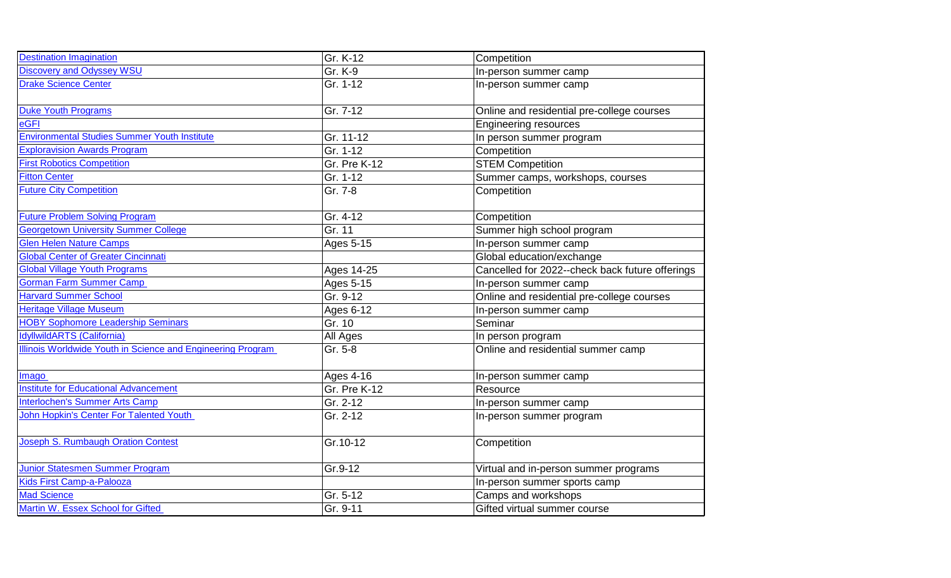| <b>Destination Imagination</b>                              | Gr. K-12     | Competition                                     |
|-------------------------------------------------------------|--------------|-------------------------------------------------|
| <b>Discovery and Odyssey WSU</b>                            | Gr. K-9      | In-person summer camp                           |
| <b>Drake Science Center</b>                                 | Gr. 1-12     | In-person summer camp                           |
|                                                             |              |                                                 |
| <b>Duke Youth Programs</b>                                  | Gr. 7-12     | Online and residential pre-college courses      |
| eGFI                                                        |              | <b>Engineering resources</b>                    |
| <b>Environmental Studies Summer Youth Institute</b>         | Gr. 11-12    | In person summer program                        |
| <b>Exploravision Awards Program</b>                         | Gr. 1-12     | Competition                                     |
| <b>First Robotics Competition</b>                           | Gr. Pre K-12 | <b>STEM Competition</b>                         |
| <b>Fitton Center</b>                                        | Gr. 1-12     | Summer camps, workshops, courses                |
| <b>Future City Competition</b>                              | Gr. 7-8      | Competition                                     |
|                                                             |              |                                                 |
| <b>Future Problem Solving Program</b>                       | Gr. 4-12     | Competition                                     |
| <b>Georgetown University Summer College</b>                 | Gr. 11       | Summer high school program                      |
| <b>Glen Helen Nature Camps</b>                              | Ages 5-15    | In-person summer camp                           |
| <b>Global Center of Greater Cincinnati</b>                  |              | Global education/exchange                       |
| <b>Global Village Youth Programs</b>                        | Ages 14-25   | Cancelled for 2022--check back future offerings |
| <b>Gorman Farm Summer Camp</b>                              | Ages 5-15    | In-person summer camp                           |
| <b>Harvard Summer School</b>                                | Gr. 9-12     | Online and residential pre-college courses      |
| <b>Heritage Village Museum</b>                              | Ages 6-12    | In-person summer camp                           |
| <b>HOBY Sophomore Leadership Seminars</b>                   | Gr. 10       | Seminar                                         |
| dyllwildARTS (California)                                   | All Ages     | In person program                               |
| Illinois Worldwide Youth in Science and Engineering Program | Gr. 5-8      | Online and residential summer camp              |
|                                                             |              |                                                 |
| Imago                                                       | Ages 4-16    | In-person summer camp                           |
| <b>Institute for Educational Advancement</b>                | Gr. Pre K-12 | Resource                                        |
| <b>Interlochen's Summer Arts Camp</b>                       | Gr. 2-12     | In-person summer camp                           |
| John Hopkin's Center For Talented Youth                     | Gr. 2-12     | In-person summer program                        |
|                                                             |              |                                                 |
| Joseph S. Rumbaugh Oration Contest                          | Gr.10-12     | Competition                                     |
|                                                             |              |                                                 |
| Junior Statesmen Summer Program                             | Gr.9-12      | Virtual and in-person summer programs           |
| <b>Kids First Camp-a-Palooza</b>                            |              | In-person summer sports camp                    |
| <b>Mad Science</b>                                          | Gr. 5-12     | Camps and workshops                             |
| Martin W. Essex School for Gifted                           | Gr. 9-11     | Gifted virtual summer course                    |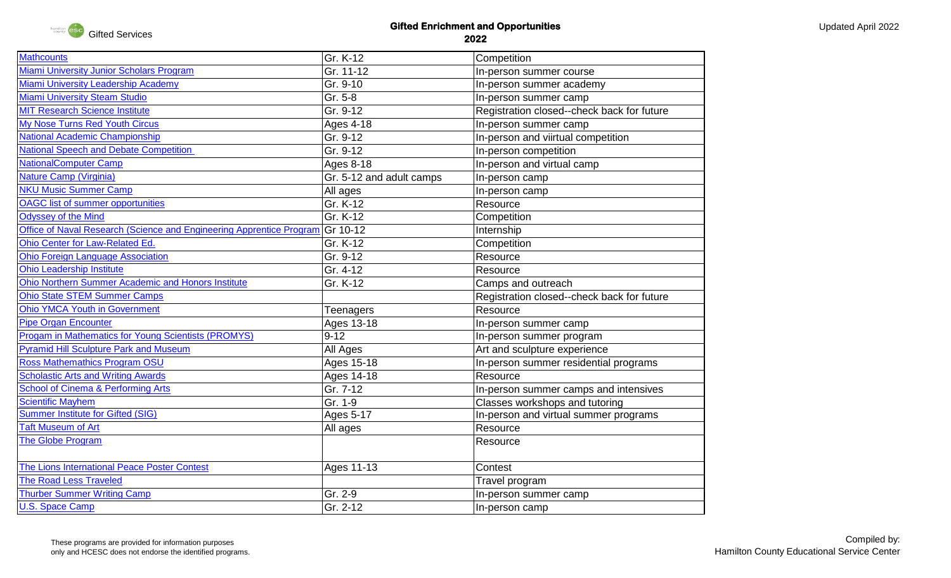

## **Gifted Enrichment and Opportunities 2022**

| <b>Mathcounts</b>                                                             | Gr. K-12                 | Competition                                |
|-------------------------------------------------------------------------------|--------------------------|--------------------------------------------|
| <b>Miami University Junior Scholars Program</b>                               | Gr. 11-12                | In-person summer course                    |
| <b>Miami University Leadership Academy</b>                                    | Gr. 9-10                 | In-person summer academy                   |
| <b>Miami University Steam Studio</b>                                          | Gr. 5-8                  | In-person summer camp                      |
| <b>MIT Research Science Institute</b>                                         | Gr. 9-12                 | Registration closed--check back for future |
| My Nose Turns Red Youth Circus                                                | <b>Ages 4-18</b>         | In-person summer camp                      |
| <b>National Academic Championship</b>                                         | Gr. 9-12                 | In-person and viirtual competition         |
| <b>National Speech and Debate Competition</b>                                 | Gr. 9-12                 | In-person competition                      |
| <b>NationalComputer Camp</b>                                                  | Ages 8-18                | In-person and virtual camp                 |
| Nature Camp (Virginia)                                                        | Gr. 5-12 and adult camps | In-person camp                             |
| <b>NKU Music Summer Camp</b>                                                  | All ages                 | In-person camp                             |
| <b>OAGC</b> list of summer opportunities                                      | Gr. K-12                 | Resource                                   |
| Odyssey of the Mind                                                           | Gr. K-12                 | Competition                                |
| Office of Naval Research (Science and Engineering Apprentice Program Gr 10-12 |                          | Internship                                 |
| Ohio Center for Law-Related Ed.                                               | Gr. K-12                 | Competition                                |
| <b>Ohio Foreign Language Association</b>                                      | Gr. 9-12                 | Resource                                   |
| <b>Ohio Leadership Institute</b>                                              | Gr. 4-12                 | Resource                                   |
| Ohio Northern Summer Academic and Honors Institute                            | Gr. K-12                 | Camps and outreach                         |
| <b>Ohio State STEM Summer Camps</b>                                           |                          | Registration closed--check back for future |
| <b>Ohio YMCA Youth in Government</b>                                          | Teenagers                | Resource                                   |
| <b>Pipe Organ Encounter</b>                                                   | Ages 13-18               | In-person summer camp                      |
| Progam in Mathematics for Young Scientists (PROMYS)                           | $9 - 12$                 | In-person summer program                   |
| <b>Pyramid Hill Sculpture Park and Museum</b>                                 | All Ages                 | Art and sculpture experience               |
| <b>Ross Mathemathics Program OSU</b>                                          | Ages 15-18               | In-person summer residential programs      |
| <b>Scholastic Arts and Writing Awards</b>                                     | Ages 14-18               | Resource                                   |
| School of Cinema & Performing Arts                                            | Gr. 7-12                 | In-person summer camps and intensives      |
| <b>Scientific Mayhem</b>                                                      | Gr. 1-9                  | Classes workshops and tutoring             |
| <b>Summer Institute for Gifted (SIG)</b>                                      | Ages 5-17                | In-person and virtual summer programs      |
| <b>Taft Museum of Art</b>                                                     | All ages                 | Resource                                   |
| The Globe Program                                                             |                          | Resource                                   |
|                                                                               |                          |                                            |
| The Lions International Peace Poster Contest                                  | Ages 11-13               | Contest                                    |
| <b>The Road Less Traveled</b>                                                 |                          | Travel program                             |
| <b>Thurber Summer Writing Camp</b>                                            | Gr. 2-9                  | In-person summer camp                      |
| <b>U.S. Space Camp</b>                                                        | Gr. 2-12                 | In-person camp                             |